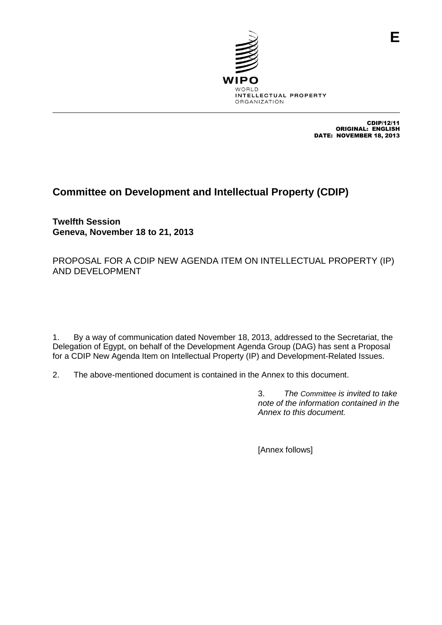

CDIP/12/11 ORIGINAL: ENGLISH DATE: NOVEMBER 18, 2013

**E**

# **Committee on Development and Intellectual Property (CDIP)**

**Twelfth Session Geneva, November 18 to 21, 2013**

PROPOSAL FOR A CDIP NEW AGENDA ITEM ON INTELLECTUAL PROPERTY (IP) AND DEVELOPMENT

1. By a way of communication dated November 18, 2013, addressed to the Secretariat, the Delegation of Egypt, on behalf of the Development Agenda Group (DAG) has sent a Proposal for a CDIP New Agenda Item on Intellectual Property (IP) and Development-Related Issues.

2. The above-mentioned document is contained in the Annex to this document.

3. *The Committee is invited to take note of the information contained in the Annex to this document.*

[Annex follows]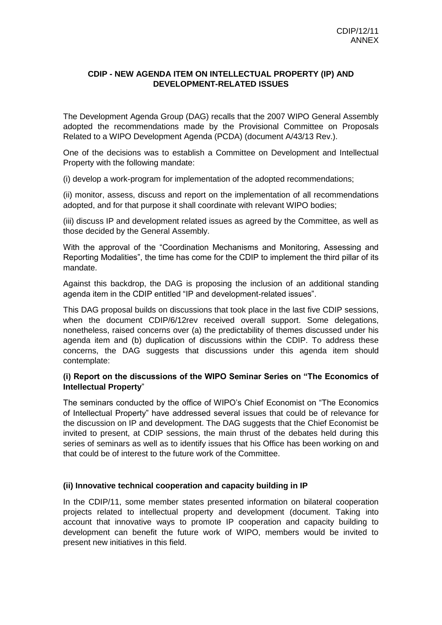## **CDIP - NEW AGENDA ITEM ON INTELLECTUAL PROPERTY (IP) AND DEVELOPMENT-RELATED ISSUES**

The Development Agenda Group (DAG) recalls that the 2007 WIPO General Assembly adopted the recommendations made by the Provisional Committee on Proposals Related to a WIPO Development Agenda (PCDA) (document A/43/13 Rev.).

One of the decisions was to establish a Committee on Development and Intellectual Property with the following mandate:

(i) develop a work-program for implementation of the adopted recommendations;

(ii) monitor, assess, discuss and report on the implementation of all recommendations adopted, and for that purpose it shall coordinate with relevant WIPO bodies;

(iii) discuss IP and development related issues as agreed by the Committee, as well as those decided by the General Assembly.

With the approval of the "Coordination Mechanisms and Monitoring, Assessing and Reporting Modalities", the time has come for the CDIP to implement the third pillar of its mandate.

Against this backdrop, the DAG is proposing the inclusion of an additional standing agenda item in the CDIP entitled "IP and development-related issues".

This DAG proposal builds on discussions that took place in the last five CDIP sessions, when the document CDIP/6/12rev received overall support. Some delegations, nonetheless, raised concerns over (a) the predictability of themes discussed under his agenda item and (b) duplication of discussions within the CDIP. To address these concerns, the DAG suggests that discussions under this agenda item should contemplate:

### **(i) Report on the discussions of the WIPO Seminar Series on "The Economics of Intellectual Property**"

The seminars conducted by the office of WIPO's Chief Economist on "The Economics of Intellectual Property" have addressed several issues that could be of relevance for the discussion on IP and development. The DAG suggests that the Chief Economist be invited to present, at CDIP sessions, the main thrust of the debates held during this series of seminars as well as to identify issues that his Office has been working on and that could be of interest to the future work of the Committee.

### **(ii) Innovative technical cooperation and capacity building in IP**

In the CDIP/11, some member states presented information on bilateral cooperation projects related to intellectual property and development (document. Taking into account that innovative ways to promote IP cooperation and capacity building to development can benefit the future work of WIPO, members would be invited to present new initiatives in this field.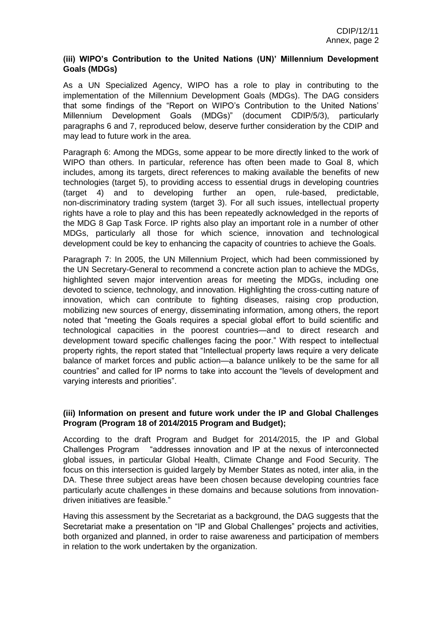## **(iii) WIPO's Contribution to the United Nations (UN)' Millennium Development Goals (MDGs)**

As a UN Specialized Agency, WIPO has a role to play in contributing to the implementation of the Millennium Development Goals (MDGs). The DAG considers that some findings of the "Report on WIPO's Contribution to the United Nations' Millennium Development Goals (MDGs)" (document CDIP/5/3), particularly paragraphs 6 and 7, reproduced below, deserve further consideration by the CDIP and may lead to future work in the area.

Paragraph 6: Among the MDGs, some appear to be more directly linked to the work of WIPO than others. In particular, reference has often been made to Goal 8, which includes, among its targets, direct references to making available the benefits of new technologies (target 5), to providing access to essential drugs in developing countries (target 4) and to developing further an open, rule-based, predictable, non-discriminatory trading system (target 3). For all such issues, intellectual property rights have a role to play and this has been repeatedly acknowledged in the reports of the MDG 8 Gap Task Force. IP rights also play an important role in a number of other MDGs, particularly all those for which science, innovation and technological development could be key to enhancing the capacity of countries to achieve the Goals.

Paragraph 7: In 2005, the UN Millennium Project, which had been commissioned by the UN Secretary-General to recommend a concrete action plan to achieve the MDGs, highlighted seven major intervention areas for meeting the MDGs, including one devoted to science, technology, and innovation. Highlighting the cross-cutting nature of innovation, which can contribute to fighting diseases, raising crop production, mobilizing new sources of energy, disseminating information, among others, the report noted that "meeting the Goals requires a special global effort to build scientific and technological capacities in the poorest countries—and to direct research and development toward specific challenges facing the poor." With respect to intellectual property rights, the report stated that "Intellectual property laws require a very delicate balance of market forces and public action—a balance unlikely to be the same for all countries" and called for IP norms to take into account the "levels of development and varying interests and priorities".

## **(iii) Information on present and future work under the IP and Global Challenges Program (Program 18 of 2014/2015 Program and Budget);**

According to the draft Program and Budget for 2014/2015, the IP and Global Challenges Program "addresses innovation and IP at the nexus of interconnected global issues, in particular Global Health, Climate Change and Food Security. The focus on this intersection is guided largely by Member States as noted, inter alia, in the DA. These three subject areas have been chosen because developing countries face particularly acute challenges in these domains and because solutions from innovationdriven initiatives are feasible."

Having this assessment by the Secretariat as a background, the DAG suggests that the Secretariat make a presentation on "IP and Global Challenges" projects and activities, both organized and planned, in order to raise awareness and participation of members in relation to the work undertaken by the organization.